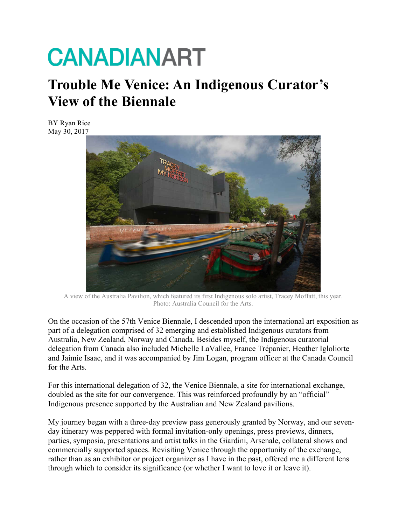## **CANADIANART**

## **Trouble Me Venice: An Indigenous Curator's View of the Biennale**

BY Ryan Rice May 30, 2017



A view of the Australia Pavilion, which featured its first Indigenous solo artist, Tracey Moffatt, this year. Photo: Australia Council for the Arts.

On the occasion of the 57th Venice Biennale, I descended upon the international art exposition as part of a delegation comprised of 32 emerging and established Indigenous curators from Australia, New Zealand, Norway and Canada. Besides myself, the Indigenous curatorial delegation from Canada also included Michelle LaVallee, France Trépanier, Heather Igloliorte and Jaimie Isaac, and it was accompanied by Jim Logan, program officer at the Canada Council for the Arts.

For this international delegation of 32, the Venice Biennale, a site for international exchange, doubled as the site for our convergence. This was reinforced profoundly by an "official" Indigenous presence supported by the Australian and New Zealand pavilions.

My journey began with a three-day preview pass generously granted by Norway, and our sevenday itinerary was peppered with formal invitation-only openings, press previews, dinners, parties, symposia, presentations and artist talks in the Giardini, Arsenale, collateral shows and commercially supported spaces. Revisiting Venice through the opportunity of the exchange, rather than as an exhibitor or project organizer as I have in the past, offered me a different lens through which to consider its significance (or whether I want to love it or leave it).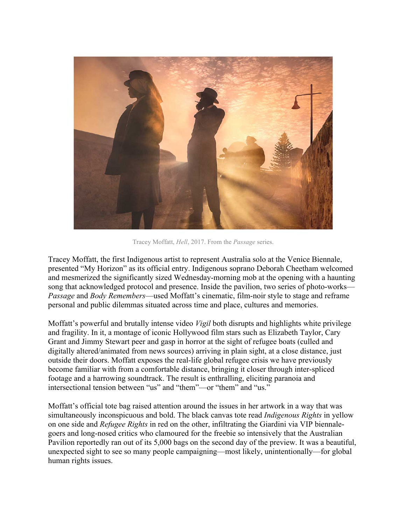

Tracey Moffatt, *Hell*, 2017. From the *Passage* series.

Tracey Moffatt, the first Indigenous artist to represent Australia solo at the Venice Biennale, presented "My Horizon" as its official entry. Indigenous soprano Deborah Cheetham welcomed and mesmerized the significantly sized Wednesday-morning mob at the opening with a haunting song that acknowledged protocol and presence. Inside the pavilion, two series of photo-works— *Passage* and *Body Remembers*—used Moffatt's cinematic, film-noir style to stage and reframe personal and public dilemmas situated across time and place, cultures and memories.

Moffatt's powerful and brutally intense video *Vigil* both disrupts and highlights white privilege and fragility. In it, a montage of iconic Hollywood film stars such as Elizabeth Taylor, Cary Grant and Jimmy Stewart peer and gasp in horror at the sight of refugee boats (culled and digitally altered/animated from news sources) arriving in plain sight, at a close distance, just outside their doors. Moffatt exposes the real-life global refugee crisis we have previously become familiar with from a comfortable distance, bringing it closer through inter-spliced footage and a harrowing soundtrack. The result is enthralling, eliciting paranoia and intersectional tension between "us" and "them"—or "them" and "us."

Moffatt's official tote bag raised attention around the issues in her artwork in a way that was simultaneously inconspicuous and bold. The black canvas tote read *Indigenous Rights* in yellow on one side and *Refugee Rights* in red on the other, infiltrating the Giardini via VIP biennalegoers and long-nosed critics who clamoured for the freebie so intensively that the Australian Pavilion reportedly ran out of its 5,000 bags on the second day of the preview. It was a beautiful, unexpected sight to see so many people campaigning—most likely, unintentionally—for global human rights issues.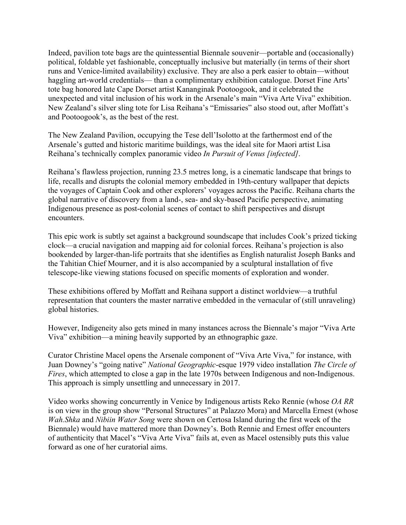Indeed, pavilion tote bags are the quintessential Biennale souvenir—portable and (occasionally) political, foldable yet fashionable, conceptually inclusive but materially (in terms of their short runs and Venice-limited availability) exclusive. They are also a perk easier to obtain—without haggling art-world credentials— than a complimentary exhibition catalogue. Dorset Fine Arts' tote bag honored late Cape Dorset artist Kananginak Pootoogook, and it celebrated the unexpected and vital inclusion of his work in the Arsenale's main "Viva Arte Viva" exhibition. New Zealand's silver sling tote for Lisa Reihana's "Emissaries" also stood out, after Moffatt's and Pootoogook's, as the best of the rest.

The New Zealand Pavilion, occupying the Tese dell'Isolotto at the farthermost end of the Arsenale's gutted and historic maritime buildings, was the ideal site for Maori artist Lisa Reihana's technically complex panoramic video *In Pursuit of Venus [infected]*.

Reihana's flawless projection, running 23.5 metres long, is a cinematic landscape that brings to life, recalls and disrupts the colonial memory embedded in 19th-century wallpaper that depicts the voyages of Captain Cook and other explorers' voyages across the Pacific. Reihana charts the global narrative of discovery from a land-, sea- and sky-based Pacific perspective, animating Indigenous presence as post-colonial scenes of contact to shift perspectives and disrupt encounters.

This epic work is subtly set against a background soundscape that includes Cook's prized ticking clock—a crucial navigation and mapping aid for colonial forces. Reihana's projection is also bookended by larger-than-life portraits that she identifies as English naturalist Joseph Banks and the Tahitian Chief Mourner, and it is also accompanied by a sculptural installation of five telescope-like viewing stations focused on specific moments of exploration and wonder.

These exhibitions offered by Moffatt and Reihana support a distinct worldview—a truthful representation that counters the master narrative embedded in the vernacular of (still unraveling) global histories.

However, Indigeneity also gets mined in many instances across the Biennale's major "Viva Arte Viva" exhibition—a mining heavily supported by an ethnographic gaze.

Curator Christine Macel opens the Arsenale component of "Viva Arte Viva," for instance, with Juan Downey's "going native" *National Geographic*-esque 1979 video installation *The Circle of Fires*, which attempted to close a gap in the late 1970s between Indigenous and non-Indigenous. This approach is simply unsettling and unnecessary in 2017.

Video works showing concurrently in Venice by Indigenous artists Reko Rennie (whose *OA RR* is on view in the group show "Personal Structures" at Palazzo Mora) and Marcella Ernest (whose *Wah.Shka* and *Nibiin Water Song* were shown on Certosa Island during the first week of the Biennale) would have mattered more than Downey's. Both Rennie and Ernest offer encounters of authenticity that Macel's "Viva Arte Viva" fails at, even as Macel ostensibly puts this value forward as one of her curatorial aims.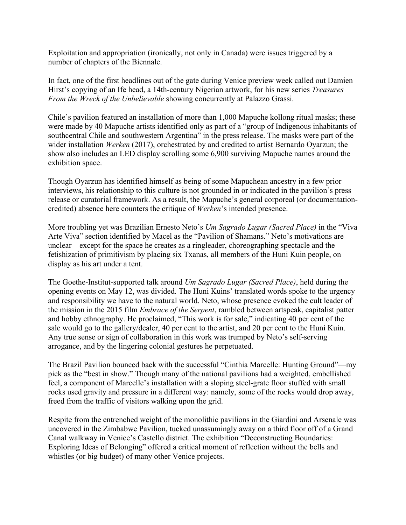Exploitation and appropriation (ironically, not only in Canada) were issues triggered by a number of chapters of the Biennale.

In fact, one of the first headlines out of the gate during Venice preview week called out Damien Hirst's copying of an Ife head, a 14th-century Nigerian artwork, for his new series *Treasures From the Wreck of the Unbelievable* showing concurrently at Palazzo Grassi.

Chile's pavilion featured an installation of more than 1,000 Mapuche kollong ritual masks; these were made by 40 Mapuche artists identified only as part of a "group of Indigenous inhabitants of southcentral Chile and southwestern Argentina" in the press release. The masks were part of the wider installation *Werken* (2017), orchestrated by and credited to artist Bernardo Oyarzun; the show also includes an LED display scrolling some 6,900 surviving Mapuche names around the exhibition space.

Though Oyarzun has identified himself as being of some Mapuchean ancestry in a few prior interviews, his relationship to this culture is not grounded in or indicated in the pavilion's press release or curatorial framework. As a result, the Mapuche's general corporeal (or documentationcredited) absence here counters the critique of *Werken*'s intended presence.

More troubling yet was Brazilian Ernesto Neto's *Um Sagrado Lugar (Sacred Place)* in the "Viva Arte Viva" section identified by Macel as the "Pavilion of Shamans." Neto's motivations are unclear—except for the space he creates as a ringleader, choreographing spectacle and the fetishization of primitivism by placing six Txanas, all members of the Huni Kuin people, on display as his art under a tent.

The Goethe-Institut-supported talk around *Um Sagrado Lugar (Sacred Place)*, held during the opening events on May 12, was divided. The Huni Kuins' translated words spoke to the urgency and responsibility we have to the natural world. Neto, whose presence evoked the cult leader of the mission in the 2015 film *Embrace of the Serpent*, rambled between artspeak, capitalist patter and hobby ethnography. He proclaimed, "This work is for sale," indicating 40 per cent of the sale would go to the gallery/dealer, 40 per cent to the artist, and 20 per cent to the Huni Kuin. Any true sense or sign of collaboration in this work was trumped by Neto's self-serving arrogance, and by the lingering colonial gestures he perpetuated.

The Brazil Pavilion bounced back with the successful "Cinthia Marcelle: Hunting Ground"—my pick as the "best in show." Though many of the national pavilions had a weighted, embellished feel, a component of Marcelle's installation with a sloping steel-grate floor stuffed with small rocks used gravity and pressure in a different way: namely, some of the rocks would drop away, freed from the traffic of visitors walking upon the grid.

Respite from the entrenched weight of the monolithic pavilions in the Giardini and Arsenale was uncovered in the Zimbabwe Pavilion, tucked unassumingly away on a third floor off of a Grand Canal walkway in Venice's Castello district. The exhibition "Deconstructing Boundaries: Exploring Ideas of Belonging" offered a critical moment of reflection without the bells and whistles (or big budget) of many other Venice projects.